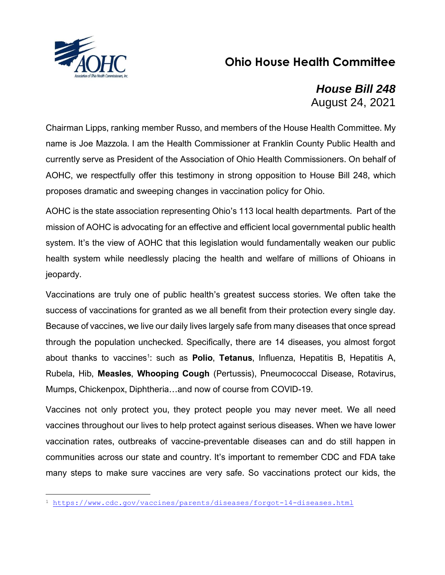

## **Ohio House Health Committee**

## *House Bill 248* August 24, 2021

Chairman Lipps, ranking member Russo, and members of the House Health Committee. My name is Joe Mazzola. I am the Health Commissioner at Franklin County Public Health and currently serve as President of the Association of Ohio Health Commissioners. On behalf of AOHC, we respectfully offer this testimony in strong opposition to House Bill 248, which proposes dramatic and sweeping changes in vaccination policy for Ohio.

AOHC is the state association representing Ohio's 113 local health departments. Part of the mission of AOHC is advocating for an effective and efficient local governmental public health system. It's the view of AOHC that this legislation would fundamentally weaken our public health system while needlessly placing the health and welfare of millions of Ohioans in jeopardy.

Vaccinations are truly one of public health's greatest success stories. We often take the success of vaccinations for granted as we all benefit from their protection every single day. Because of vaccines, we live our daily lives largely safe from many diseases that once spread through the population unchecked. Specifically, there are 14 diseases, you almost forgot about thanks to vaccines<sup>1</sup>: such as **Polio, Tetanus**, Influenza, Hepatitis B, Hepatitis A, Rubela, Hib, **Measles**, **Whooping Cough** (Pertussis), Pneumococcal Disease, Rotavirus, Mumps, Chickenpox, Diphtheria…and now of course from COVID-19.

Vaccines not only protect you, they protect people you may never meet. We all need vaccines throughout our lives to help protect against serious diseases. When we have lower vaccination rates, outbreaks of vaccine-preventable diseases can and do still happen in communities across our state and country. It's important to remember CDC and FDA take many steps to make sure vaccines are very safe. So vaccinations protect our kids, the

<sup>1</sup> <https://www.cdc.gov/vaccines/parents/diseases/forgot-14-diseases.html>